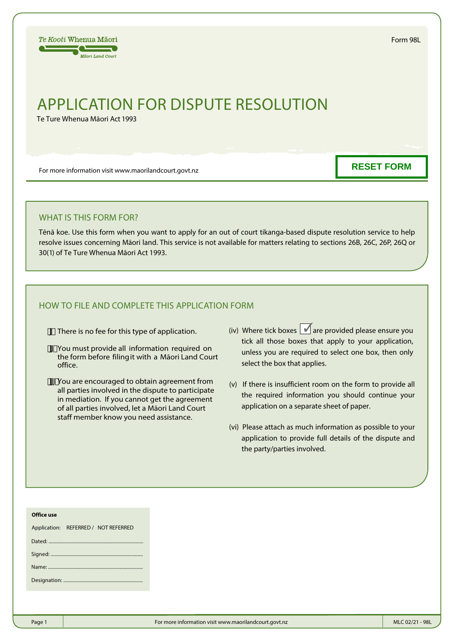Form 98L

# APPLICATION FOR DISPUTE RESOLUTION

Te Ture Whenua Māori Act 1993

For more information visit www.maorilandcourt.govt.nz

**RESET FORM**

## WHAT IS THIS FORM FOR?

Tēnā koe. Use this form when you want to apply for an out of court tikanga-based dispute resolution service to help resolve issues concerning Māori land. This service is not available for matters relating to sections 26B, 26C, 26P, 26Q or 30(1) of Te Ture Whenua Māori Act 1993.

# HOW TO FILE AND COMPLETE THIS APPLICATION FORM

 J There is no fee for this type of application.

- /[[fiYou must provide all information required on the form before filingit with a Māori Land Court office.
- JJJ You are encouraged to obtain agreement from all parties involved in the dispute to participate in mediation. If you cannot get the agreement of all parties involved, let a Māori Land Court staff member know you need assistance.
- (iv) Where tick boxes  $\sqrt{a}$  are provided please ensure you tick all those boxes that apply to your application, unless you are required to select one box, then only select the box that applies.
- (v) If there is insufficient room on the form to provide all the required information you should continue your application on a separate sheet of paper.
- (vi) Please attach as much information as possible to your application to provide full details of the dispute and the party/parties involved.

#### **Office use**

Application: REFERRED / NOT REFERRED

Name: Designation: .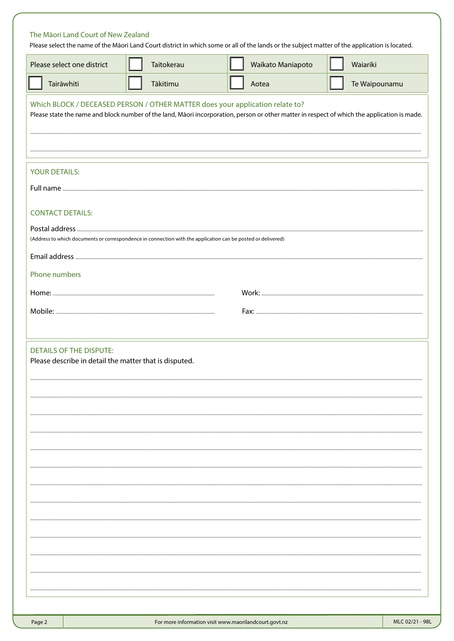## The Māori Land Court of New Zealand

Please select the name of the Māori Land Court district in which some or all of the lands or the subject matter of the application is located.

| Please select one district                                                                                                                                                                                                    | Taitokerau | Waikato Maniapoto | Waiariki      |
|-------------------------------------------------------------------------------------------------------------------------------------------------------------------------------------------------------------------------------|------------|-------------------|---------------|
| Tairāwhiti                                                                                                                                                                                                                    | Tākitimu   | Aotea             | Te Waipounamu |
| Which BLOCK / DECEASED PERSON / OTHER MATTER does your application relate to?<br>Please state the name and block number of the land, Māori incorporation, person or other matter in respect of which the application is made. |            |                   |               |
|                                                                                                                                                                                                                               |            |                   |               |
| <b>YOUR DETAILS:</b>                                                                                                                                                                                                          |            |                   |               |
|                                                                                                                                                                                                                               |            |                   |               |
| <b>CONTACT DETAILS:</b>                                                                                                                                                                                                       |            |                   |               |
| (Address to which documents or correspondence in connection with the application can be posted or delivered)                                                                                                                  |            |                   |               |
|                                                                                                                                                                                                                               |            |                   |               |
| Phone numbers                                                                                                                                                                                                                 |            |                   |               |
|                                                                                                                                                                                                                               |            |                   |               |
|                                                                                                                                                                                                                               |            |                   |               |
|                                                                                                                                                                                                                               |            |                   |               |
| <b>DETAILS OF THE DISPUTE:</b><br>Please describe in detail the matter that is disputed.                                                                                                                                      |            |                   |               |
|                                                                                                                                                                                                                               |            |                   |               |
|                                                                                                                                                                                                                               |            |                   |               |
|                                                                                                                                                                                                                               |            |                   |               |
|                                                                                                                                                                                                                               |            |                   |               |
|                                                                                                                                                                                                                               |            |                   |               |
|                                                                                                                                                                                                                               |            |                   |               |
|                                                                                                                                                                                                                               |            |                   |               |
|                                                                                                                                                                                                                               |            |                   |               |
|                                                                                                                                                                                                                               |            |                   |               |
|                                                                                                                                                                                                                               |            |                   |               |
|                                                                                                                                                                                                                               |            |                   |               |
|                                                                                                                                                                                                                               |            |                   |               |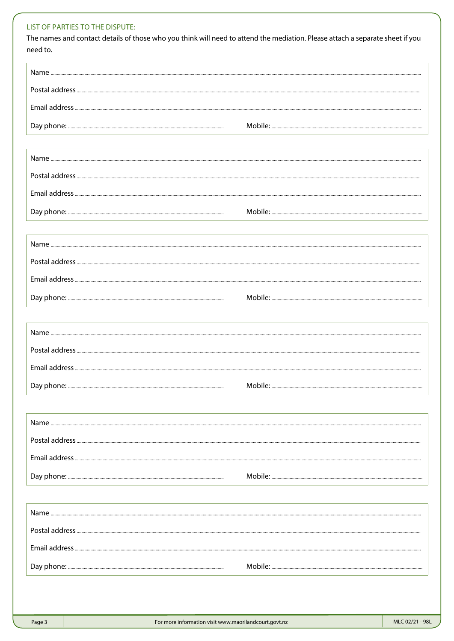## LIST OF PARTIES TO THE DISPUTE:

The names and contact details of those who you think will need to attend the mediation. Please attach a separate sheet if you need to.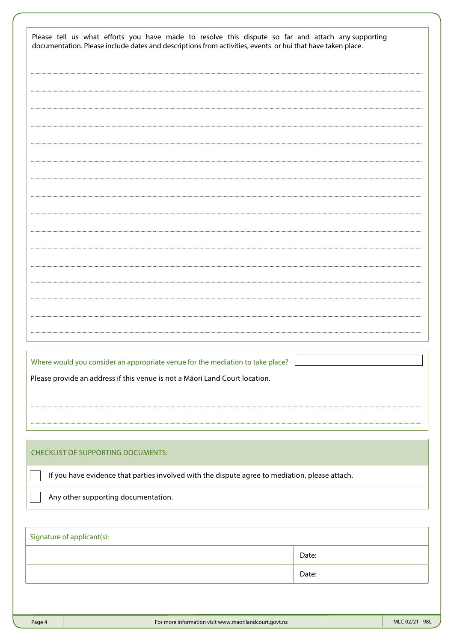| Please tell us what efforts you have made to resolve this dispute so far and attach any supporting<br>documentation. Please include dates and descriptions from activities, events or hui that have taken place. |       |
|------------------------------------------------------------------------------------------------------------------------------------------------------------------------------------------------------------------|-------|
|                                                                                                                                                                                                                  |       |
|                                                                                                                                                                                                                  |       |
|                                                                                                                                                                                                                  |       |
|                                                                                                                                                                                                                  |       |
|                                                                                                                                                                                                                  |       |
|                                                                                                                                                                                                                  |       |
|                                                                                                                                                                                                                  |       |
|                                                                                                                                                                                                                  |       |
|                                                                                                                                                                                                                  |       |
|                                                                                                                                                                                                                  |       |
|                                                                                                                                                                                                                  |       |
|                                                                                                                                                                                                                  |       |
|                                                                                                                                                                                                                  |       |
|                                                                                                                                                                                                                  |       |
|                                                                                                                                                                                                                  |       |
|                                                                                                                                                                                                                  |       |
|                                                                                                                                                                                                                  |       |
| Where would you consider an appropriate venue for the mediation to take place?                                                                                                                                   |       |
| Please provide an address if this venue is not a Māori Land Court location.                                                                                                                                      |       |
|                                                                                                                                                                                                                  |       |
|                                                                                                                                                                                                                  |       |
|                                                                                                                                                                                                                  |       |
| <b>CHECKLIST OF SUPPORTING DOCUMENTS:</b>                                                                                                                                                                        |       |
| If you have evidence that parties involved with the dispute agree to mediation, please attach.                                                                                                                   |       |
| Any other supporting documentation.                                                                                                                                                                              |       |
|                                                                                                                                                                                                                  |       |
| Signature of applicant(s):                                                                                                                                                                                       |       |
|                                                                                                                                                                                                                  | Date: |
|                                                                                                                                                                                                                  | Date: |
|                                                                                                                                                                                                                  |       |